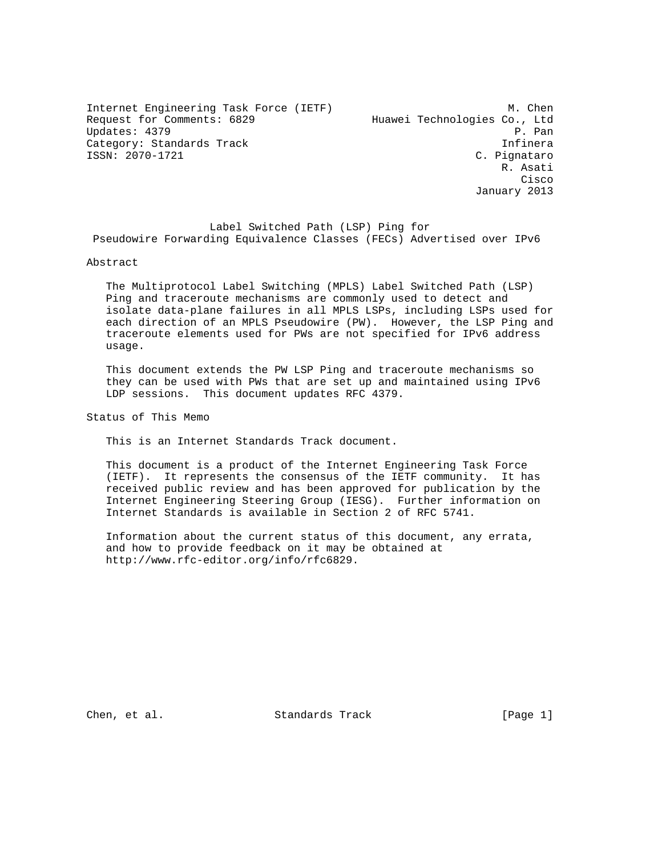Internet Engineering Task Force (IETF) M. Chen Request for Comments: 6829 Huawei Technologies Co., Ltd Updates: 4379 P. Pan Category: Standards Track Infinera ISSN: 2070-1721 C. Pignataro

 R. Asati **Cisco de la contrata de la contrata de la contrata de la contrata de la contrata de la contrata de la contrat** January 2013

 Label Switched Path (LSP) Ping for Pseudowire Forwarding Equivalence Classes (FECs) Advertised over IPv6

Abstract

 The Multiprotocol Label Switching (MPLS) Label Switched Path (LSP) Ping and traceroute mechanisms are commonly used to detect and isolate data-plane failures in all MPLS LSPs, including LSPs used for each direction of an MPLS Pseudowire (PW). However, the LSP Ping and traceroute elements used for PWs are not specified for IPv6 address usage.

 This document extends the PW LSP Ping and traceroute mechanisms so they can be used with PWs that are set up and maintained using IPv6 LDP sessions. This document updates RFC 4379.

Status of This Memo

This is an Internet Standards Track document.

 This document is a product of the Internet Engineering Task Force (IETF). It represents the consensus of the IETF community. It has received public review and has been approved for publication by the Internet Engineering Steering Group (IESG). Further information on Internet Standards is available in Section 2 of RFC 5741.

 Information about the current status of this document, any errata, and how to provide feedback on it may be obtained at http://www.rfc-editor.org/info/rfc6829.

Chen, et al. Standards Track [Page 1]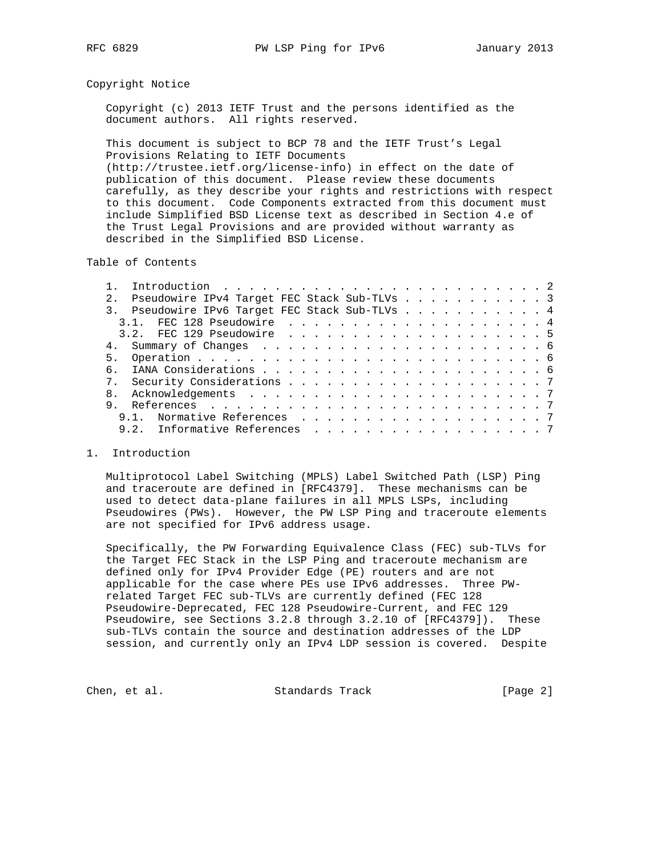## Copyright Notice

 Copyright (c) 2013 IETF Trust and the persons identified as the document authors. All rights reserved.

 This document is subject to BCP 78 and the IETF Trust's Legal Provisions Relating to IETF Documents (http://trustee.ietf.org/license-info) in effect on the date of

 publication of this document. Please review these documents carefully, as they describe your rights and restrictions with respect to this document. Code Components extracted from this document must include Simplified BSD License text as described in Section 4.e of the Trust Legal Provisions and are provided without warranty as described in the Simplified BSD License.

Table of Contents

|              | Introduction $\ldots \ldots \ldots \ldots \ldots \ldots \ldots \ldots \ldots$ |
|--------------|-------------------------------------------------------------------------------|
| 2.1          | Pseudowire IPv4 Target FEC Stack Sub-TLVs 3                                   |
|              | 3. Pseudowire IPv6 Target FEC Stack Sub-TLVs 4                                |
|              |                                                                               |
|              |                                                                               |
|              |                                                                               |
|              |                                                                               |
| რ —          |                                                                               |
|              |                                                                               |
| $\mathsf{R}$ |                                                                               |
| 9            |                                                                               |
|              | 9.1. Normative References 7                                                   |
|              | 9.2. Informative References 7                                                 |

## 1. Introduction

 Multiprotocol Label Switching (MPLS) Label Switched Path (LSP) Ping and traceroute are defined in [RFC4379]. These mechanisms can be used to detect data-plane failures in all MPLS LSPs, including Pseudowires (PWs). However, the PW LSP Ping and traceroute elements are not specified for IPv6 address usage.

 Specifically, the PW Forwarding Equivalence Class (FEC) sub-TLVs for the Target FEC Stack in the LSP Ping and traceroute mechanism are defined only for IPv4 Provider Edge (PE) routers and are not applicable for the case where PEs use IPv6 addresses. Three PW related Target FEC sub-TLVs are currently defined (FEC 128 Pseudowire-Deprecated, FEC 128 Pseudowire-Current, and FEC 129 Pseudowire, see Sections 3.2.8 through 3.2.10 of [RFC4379]). These sub-TLVs contain the source and destination addresses of the LDP session, and currently only an IPv4 LDP session is covered. Despite

Chen, et al. Standards Track [Page 2]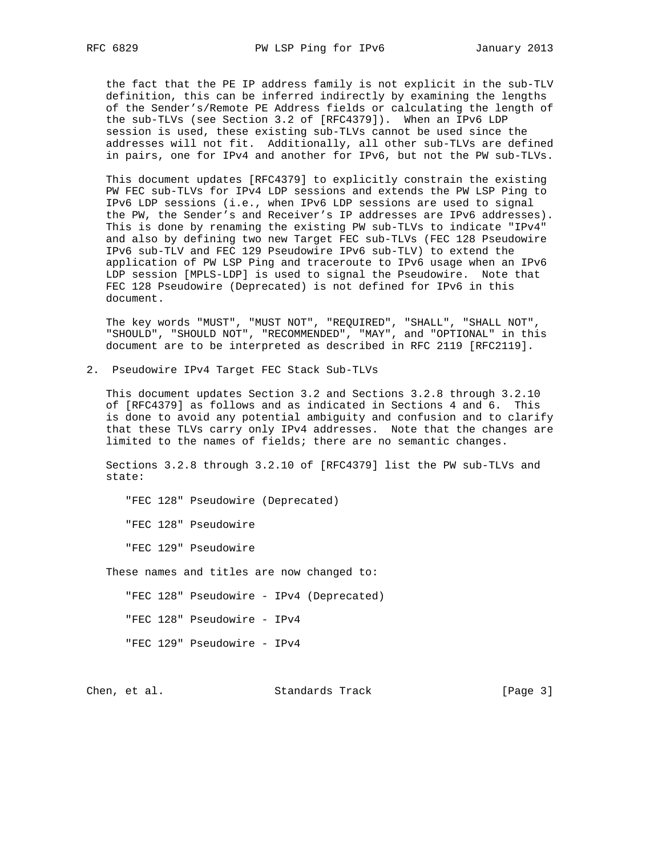the fact that the PE IP address family is not explicit in the sub-TLV definition, this can be inferred indirectly by examining the lengths of the Sender's/Remote PE Address fields or calculating the length of the sub-TLVs (see Section 3.2 of [RFC4379]). When an IPv6 LDP session is used, these existing sub-TLVs cannot be used since the addresses will not fit. Additionally, all other sub-TLVs are defined in pairs, one for IPv4 and another for IPv6, but not the PW sub-TLVs.

 This document updates [RFC4379] to explicitly constrain the existing PW FEC sub-TLVs for IPv4 LDP sessions and extends the PW LSP Ping to IPv6 LDP sessions (i.e., when IPv6 LDP sessions are used to signal the PW, the Sender's and Receiver's IP addresses are IPv6 addresses). This is done by renaming the existing PW sub-TLVs to indicate "IPv4" and also by defining two new Target FEC sub-TLVs (FEC 128 Pseudowire IPv6 sub-TLV and FEC 129 Pseudowire IPv6 sub-TLV) to extend the application of PW LSP Ping and traceroute to IPv6 usage when an IPv6 LDP session [MPLS-LDP] is used to signal the Pseudowire. Note that FEC 128 Pseudowire (Deprecated) is not defined for IPv6 in this document.

 The key words "MUST", "MUST NOT", "REQUIRED", "SHALL", "SHALL NOT", "SHOULD", "SHOULD NOT", "RECOMMENDED", "MAY", and "OPTIONAL" in this document are to be interpreted as described in RFC 2119 [RFC2119].

2. Pseudowire IPv4 Target FEC Stack Sub-TLVs

 This document updates Section 3.2 and Sections 3.2.8 through 3.2.10 of [RFC4379] as follows and as indicated in Sections 4 and 6. This is done to avoid any potential ambiguity and confusion and to clarify that these TLVs carry only IPv4 addresses. Note that the changes are limited to the names of fields; there are no semantic changes.

 Sections 3.2.8 through 3.2.10 of [RFC4379] list the PW sub-TLVs and state:

"FEC 128" Pseudowire (Deprecated)

"FEC 128" Pseudowire

"FEC 129" Pseudowire

These names and titles are now changed to:

"FEC 128" Pseudowire - IPv4 (Deprecated)

"FEC 128" Pseudowire - IPv4

"FEC 129" Pseudowire - IPv4

Chen, et al. Standards Track [Page 3]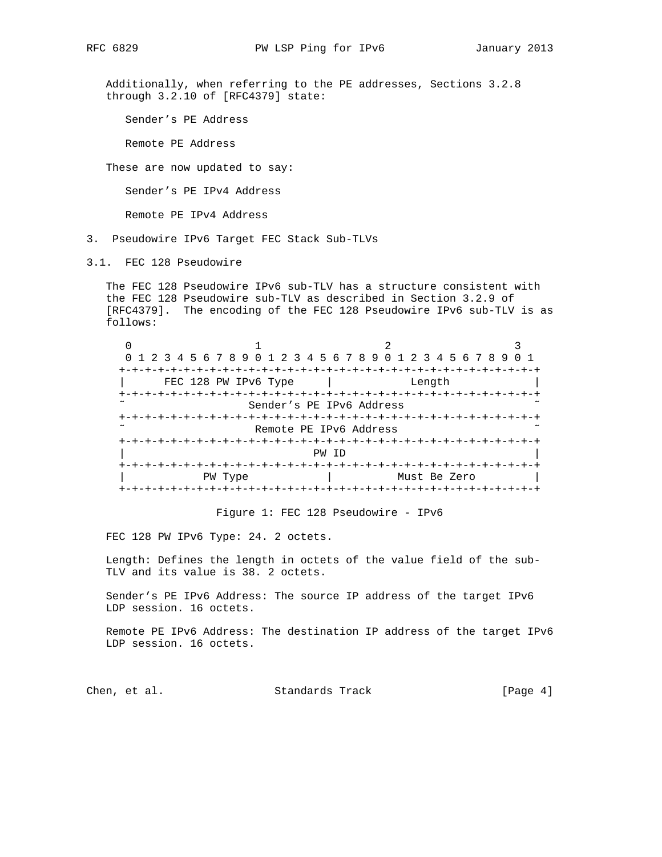Additionally, when referring to the PE addresses, Sections 3.2.8 through 3.2.10 of [RFC4379] state:

Sender's PE Address

Remote PE Address

These are now updated to say:

Sender's PE IPv4 Address

Remote PE IPv4 Address

- 3. Pseudowire IPv6 Target FEC Stack Sub-TLVs
- 3.1. FEC 128 Pseudowire

 The FEC 128 Pseudowire IPv6 sub-TLV has a structure consistent with the FEC 128 Pseudowire sub-TLV as described in Section 3.2.9 of [RFC4379]. The encoding of the FEC 128 Pseudowire IPv6 sub-TLV is as follows:

| 0 1 2 3 4 5 6 7 8 9 0 1 2 3 4 5 6 7 8 9 0 1 2 3 4 5 6 7 8 9 |                          |              |  |
|-------------------------------------------------------------|--------------------------|--------------|--|
|                                                             |                          |              |  |
| FEC 128 PW IPv6 Type                                        |                          | Length       |  |
|                                                             |                          |              |  |
|                                                             | Sender's PE IPv6 Address |              |  |
|                                                             |                          |              |  |
|                                                             | Remote PE IPv6 Address   |              |  |
|                                                             |                          |              |  |
|                                                             | PW ID                    |              |  |
|                                                             |                          |              |  |
| PW Type                                                     |                          | Must Be Zero |  |
|                                                             |                          |              |  |

Figure 1: FEC 128 Pseudowire - IPv6

FEC 128 PW IPv6 Type: 24. 2 octets.

 Length: Defines the length in octets of the value field of the sub- TLV and its value is 38. 2 octets.

 Sender's PE IPv6 Address: The source IP address of the target IPv6 LDP session. 16 octets.

 Remote PE IPv6 Address: The destination IP address of the target IPv6 LDP session. 16 octets.

Chen, et al. Standards Track [Page 4]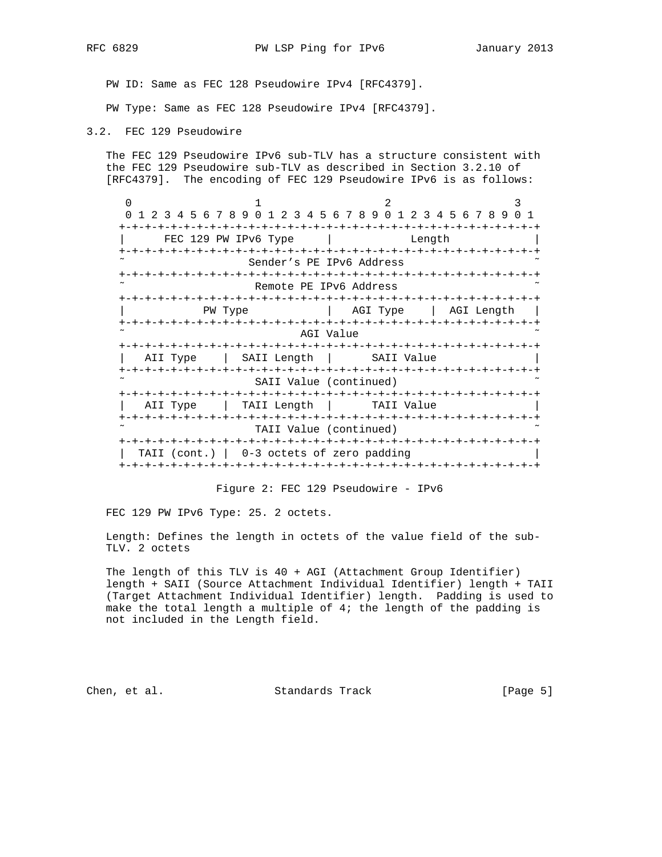PW ID: Same as FEC 128 Pseudowire IPv4 [RFC4379].

PW Type: Same as FEC 128 Pseudowire IPv4 [RFC4379].

3.2. FEC 129 Pseudowire

 The FEC 129 Pseudowire IPv6 sub-TLV has a structure consistent with the FEC 129 Pseudowire sub-TLV as described in Section 3.2.10 of [RFC4379]. The encoding of FEC 129 Pseudowire IPv6 is as follows:

0  $1$   $2$   $3$  0 1 2 3 4 5 6 7 8 9 0 1 2 3 4 5 6 7 8 9 0 1 2 3 4 5 6 7 8 9 0 1 +-+-+-+-+-+-+-+-+-+-+-+-+-+-+-+-+-+-+-+-+-+-+-+-+-+-+-+-+-+-+-+-+ FEC 129 PW IPv6 Type | Length +-+-+-+-+-+-+-+-+-+-+-+-+-+-+-+-+-+-+-+-+-+-+-+-+-+-+-+-+-+-+-+-+ Sender's PE IPv6 Address +-+-+-+-+-+-+-+-+-+-+-+-+-+-+-+-+-+-+-+-+-+-+-+-+-+-+-+-+-+-+-+-+ Remote PE IPv6 Address +-+-+-+-+-+-+-+-+-+-+-+-+-+-+-+-+-+-+-+-+-+-+-+-+-+-+-+-+-+-+-+-+ | PW Type | AGI Type | AGI Length | +-+-+-+-+-+-+-+-+-+-+-+-+-+-+-+-+-+-+-+-+-+-+-+-+-+-+-+-+-+-+-+-+ AGI Value +-+-+-+-+-+-+-+-+-+-+-+-+-+-+-+-+-+-+-+-+-+-+-+-+-+-+-+-+-+-+-+-+ | AII Type | SAII Length | SAII Value +-+-+-+-+-+-+-+-+-+-+-+-+-+-+-+-+-+-+-+-+-+-+-+-+-+-+-+-+-+-+-+-+ SAII Value (continued) +-+-+-+-+-+-+-+-+-+-+-+-+-+-+-+-+-+-+-+-+-+-+-+-+-+-+-+-+-+-+-+-+ | AII Type | TAII Length | TAII Value | +-+-+-+-+-+-+-+-+-+-+-+-+-+-+-+-+-+-+-+-+-+-+-+-+-+-+-+-+-+-+-+-+ TAII Value (continued) +-+-+-+-+-+-+-+-+-+-+-+-+-+-+-+-+-+-+-+-+-+-+-+-+-+-+-+-+-+-+-+-+ | TAII (cont.) | 0-3 octets of zero padding +-+-+-+-+-+-+-+-+-+-+-+-+-+-+-+-+-+-+-+-+-+-+-+-+-+-+-+-+-+-+-+-+

Figure 2: FEC 129 Pseudowire - IPv6

FEC 129 PW IPv6 Type: 25. 2 octets.

 Length: Defines the length in octets of the value field of the sub- TLV. 2 octets

 The length of this TLV is 40 + AGI (Attachment Group Identifier) length + SAII (Source Attachment Individual Identifier) length + TAII (Target Attachment Individual Identifier) length. Padding is used to make the total length a multiple of 4; the length of the padding is not included in the Length field.

Chen, et al. Standards Track [Page 5]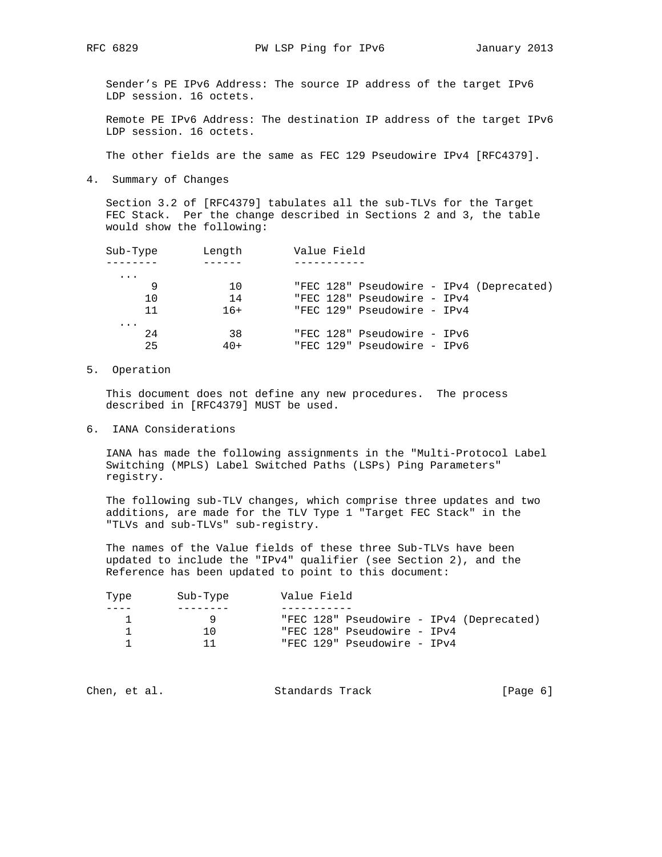Sender's PE IPv6 Address: The source IP address of the target IPv6 LDP session. 16 octets.

 Remote PE IPv6 Address: The destination IP address of the target IPv6 LDP session. 16 octets.

The other fields are the same as FEC 129 Pseudowire IPv4 [RFC4379].

4. Summary of Changes

 Section 3.2 of [RFC4379] tabulates all the sub-TLVs for the Target FEC Stack. Per the change described in Sections 2 and 3, the table would show the following:

| Sub-Type | Length | Value Field                              |
|----------|--------|------------------------------------------|
|          |        |                                          |
| $\cdots$ |        |                                          |
| 9        | 10     | "FEC 128" Pseudowire - IPv4 (Deprecated) |
| 10       | 14     | "FEC 128" Pseudowire - IPv4              |
| 11       | $16+$  | "FEC 129" Pseudowire - IPv4              |
| $\cdots$ |        |                                          |
| 2.4      | 38     | "FEC 128" Pseudowire - IPv6              |
| 25       | $40+$  | "FEC 129" Pseudowire - IPv6              |

5. Operation

 This document does not define any new procedures. The process described in [RFC4379] MUST be used.

6. IANA Considerations

 IANA has made the following assignments in the "Multi-Protocol Label Switching (MPLS) Label Switched Paths (LSPs) Ping Parameters" registry.

 The following sub-TLV changes, which comprise three updates and two additions, are made for the TLV Type 1 "Target FEC Stack" in the "TLVs and sub-TLVs" sub-registry.

 The names of the Value fields of these three Sub-TLVs have been updated to include the "IPv4" qualifier (see Section 2), and the Reference has been updated to point to this document:

| Type | Sub-Type | Value Field                              |
|------|----------|------------------------------------------|
|      |          |                                          |
|      |          | "FEC 128" Pseudowire - IPv4 (Deprecated) |
|      | 1 ∩      | "FEC 128" Pseudowire - IPv4              |
|      |          | "FEC 129" Pseudowire - IPv4              |
|      |          |                                          |

| [Page 6]<br>Standards Track<br>Chen, et al. |  |  |
|---------------------------------------------|--|--|
|---------------------------------------------|--|--|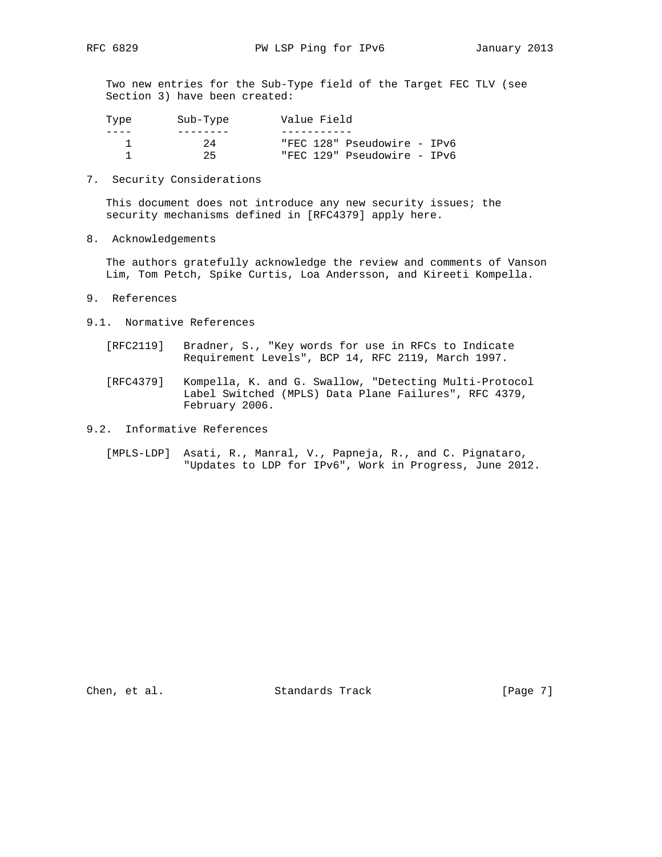Two new entries for the Sub-Type field of the Target FEC TLV (see Section 3) have been created:

| Type | Sub-Type | Value Field                 |
|------|----------|-----------------------------|
|      |          |                             |
|      | 24       | "FEC 128" Pseudowire - IPv6 |
|      | 25       | "FEC 129" Pseudowire - IPv6 |

7. Security Considerations

 This document does not introduce any new security issues; the security mechanisms defined in [RFC4379] apply here.

8. Acknowledgements

 The authors gratefully acknowledge the review and comments of Vanson Lim, Tom Petch, Spike Curtis, Loa Andersson, and Kireeti Kompella.

- 9. References
- 9.1. Normative References
	- [RFC2119] Bradner, S., "Key words for use in RFCs to Indicate Requirement Levels", BCP 14, RFC 2119, March 1997.
	- [RFC4379] Kompella, K. and G. Swallow, "Detecting Multi-Protocol Label Switched (MPLS) Data Plane Failures", RFC 4379, February 2006.
- 9.2. Informative References
	- [MPLS-LDP] Asati, R., Manral, V., Papneja, R., and C. Pignataro, "Updates to LDP for IPv6", Work in Progress, June 2012.

Chen, et al. Standards Track [Page 7]